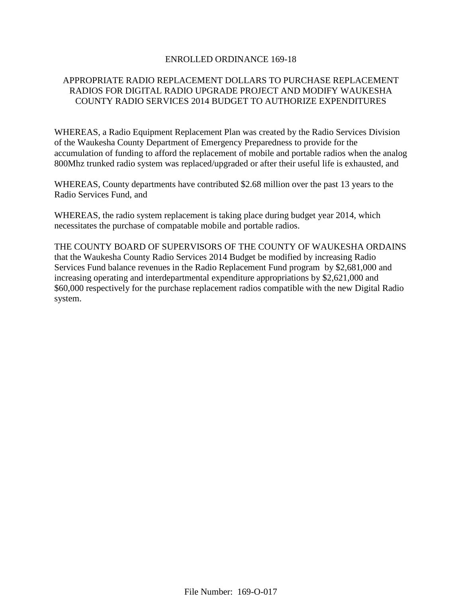### ENROLLED ORDINANCE 169-18

# APPROPRIATE RADIO REPLACEMENT DOLLARS TO PURCHASE REPLACEMENT RADIOS FOR DIGITAL RADIO UPGRADE PROJECT AND MODIFY WAUKESHA COUNTY RADIO SERVICES 2014 BUDGET TO AUTHORIZE EXPENDITURES

WHEREAS, a Radio Equipment Replacement Plan was created by the Radio Services Division of the Waukesha County Department of Emergency Preparedness to provide for the accumulation of funding to afford the replacement of mobile and portable radios when the analog 800Mhz trunked radio system was replaced/upgraded or after their useful life is exhausted, and

WHEREAS, County departments have contributed \$2.68 million over the past 13 years to the Radio Services Fund, and

WHEREAS, the radio system replacement is taking place during budget year 2014, which necessitates the purchase of compatable mobile and portable radios.

THE COUNTY BOARD OF SUPERVISORS OF THE COUNTY OF WAUKESHA ORDAINS that the Waukesha County Radio Services 2014 Budget be modified by increasing Radio Services Fund balance revenues in the Radio Replacement Fund program by \$2,681,000 and increasing operating and interdepartmental expenditure appropriations by \$2,621,000 and \$60,000 respectively for the purchase replacement radios compatible with the new Digital Radio system.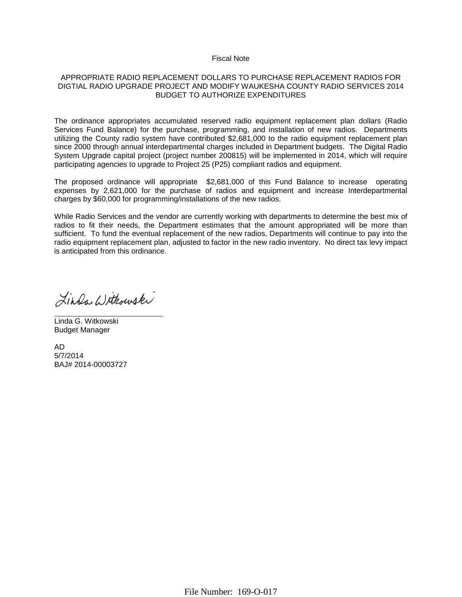#### Fiscal Note

#### APPROPRIATE RADIO REPLACEMENT DOLLARS TO PURCHASE REPLACEMENT RADIOS FOR DIGTIAL RADIO UPGRADE PROJECT AND MODIFY WAUKESHA COUNTY RADIO SERVICES 2014 BUDGET TO AUTHORIZE EXPENDITURES

The ordinance appropriates accumulated reserved radio equipment replacement plan dollars (Radio Services Fund Balance) for the purchase, programming, and installation of new radios. Departments utilizing the County radio system have contributed \$2,681,000 to the radio equipment replacement plan since 2000 through annual interdepartmental charges included in Department budgets. The Digital Radio System Upgrade capital project (project number 200815) will be implemented in 2014, which will require participating agencies to upgrade to Project 25 (P25) compliant radios and equipment.

The proposed ordinance will appropriate \$2,681,000 of this Fund Balance to increase operating expenses by 2,621,000 for the purchase of radios and equipment and increase Interdepartmental charges by \$60,000 for programming/installations of the new radios.

While Radio Services and the vendor are currently working with departments to determine the best mix of radios to fit their needs, the Department estimates that the amount appropriated will be more than sufficient. To fund the eventual replacement of the new radios, Departments will continue to pay into the radio equipment replacement plan, adjusted to factor in the new radio inventory. No direct tax levy impact is anticipated from this ordinance.

Linda Withouski

Linda G. Witkowski Budget Manager

AD 5/7/2014 BAJ# 2014-00003727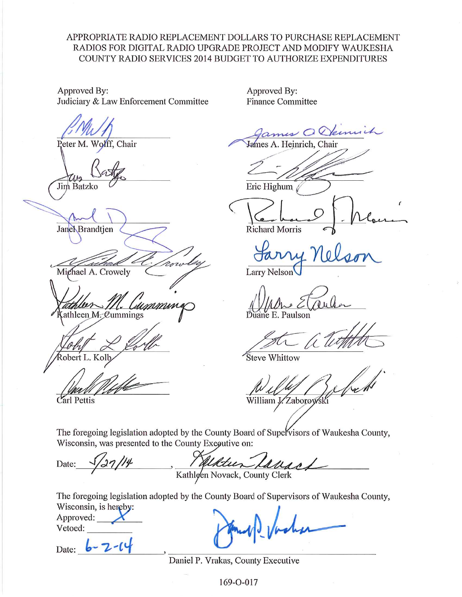# APPROPRIATE RADIO REPLACEMENT DOLLARS TO PURCHASE REPLACEMENT RADIOS FOR DIGITAL RADIO UPGRADE PROJECT AND MODIFY WAUKESHA COUNTY RADIO SERVICES 2014 BUDGET TO AUTHORIZE EXPENDITURES

Approved By: Judiciary & Law Enforcement Committee

Peter M. Wolff, Chair

Jim Batzko

Janel Brandtjen

Mighael A. Crowely

immini athleen M. Cummings

obert L. Kol

Carl Pettis

Approved By: **Finance Committee** 

Kennich

James A. Heinrich, Chair

Eric Highum

**Richard Morris** 

Larry Nelson

uane E. Paulson

Steve Whittow

William J. Zaborow

The foregoing legislation adopted by the County Board of Supervisors of Waukesha County, Wisconsin, was presented to the County Executive on:

Kathleen Lavas Date:

The foregoing legislation adopted by the County Board of Supervisors of Waukesha County, Wisconsin, is hereby:

Approved: Vetoed:

Date:  $\overline{\phantom{a}}$ 

Daniel P. Vrakas, County Executive

169-O-017